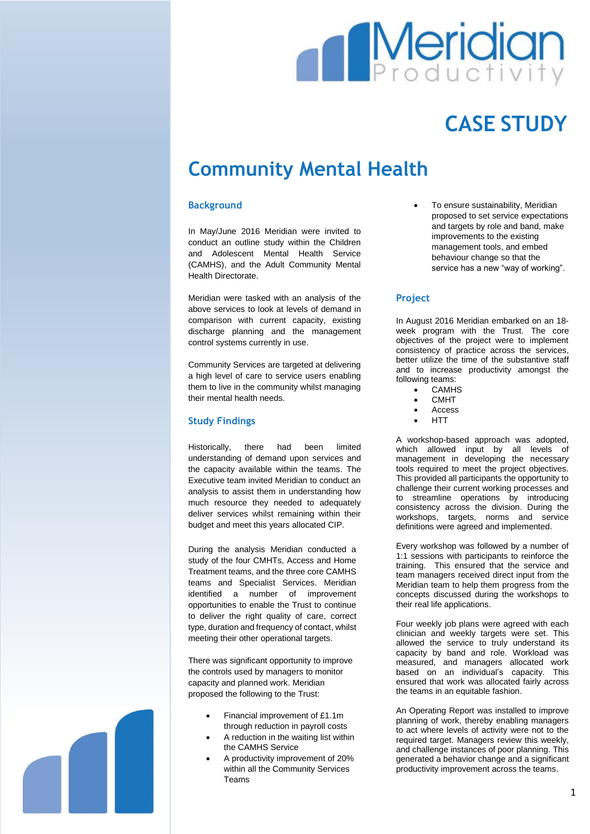

# **CASE STUDY**

## **Community Mental Health**

#### **Background**

In May/June 2016 Meridian were invited to conduct an outline study within the Children and Adolescent Mental Health Service (CAMHS), and the Adult Community Mental Health Directorate.

Meridian were tasked with an analysis of the above services to look at levels of demand in comparison with current capacity, existing discharge planning and the management control systems currently in use.

Community Services are targeted at delivering a high level of care to service users enabling them to live in the community whilst managing their mental health needs.

#### **Study Findings**

Historically, there had been limited understanding of demand upon services and the capacity available within the teams. The Executive team invited Meridian to conduct an analysis to assist them in understanding how much resource they needed to adequately deliver services whilst remaining within their budget and meet this years allocated CIP.

During the analysis Meridian conducted a study of the four CMHTs, Access and Home Treatment teams, and the three core CAMHS teams and Specialist Services. Meridian identified a number of improvement opportunities to enable the Trust to continue to deliver the right quality of care, correct type, duration and frequency of contact, whilst meeting their other operational targets.

There was significant opportunity to improve the controls used by managers to monitor capacity and planned work. Meridian proposed the following to the Trust:

- Financial improvement of £1.1m through reduction in payroll costs
- A reduction in the waiting list within the CAMHS Service
- A productivity improvement of 20% within all the Community Services Teams

 To ensure sustainability, Meridian proposed to set service expectations and targets by role and band, make improvements to the existing management tools, and embed behaviour change so that the service has a new "way of working".

#### **Project**

In August 2016 Meridian embarked on an 18 week program with the Trust. The core objectives of the project were to implement consistency of practice across the services, better utilize the time of the substantive staff and to increase productivity amongst the following teams:

- **CAMHS**
- CMHT
- Access
- **HTT**

A workshop-based approach was adopted, which allowed input by all levels of management in developing the necessary tools required to meet the project objectives. This provided all participants the opportunity to challenge their current working processes and to streamline operations by introducing consistency across the division. During the workshops, targets, norms and service definitions were agreed and implemented.

Every workshop was followed by a number of 1:1 sessions with participants to reinforce the training. This ensured that the service and team managers received direct input from the Meridian team to help them progress from the concepts discussed during the workshops to their real life applications.

Four weekly job plans were agreed with each clinician and weekly targets were set. This allowed the service to truly understand its capacity by band and role. Workload was measured, and managers allocated work based on an individual's capacity. This ensured that work was allocated fairly across the teams in an equitable fashion.

An Operating Report was installed to improve planning of work, thereby enabling managers to act where levels of activity were not to the required target. Managers review this weekly, and challenge instances of poor planning. This generated a behavior change and a significant productivity improvement across the teams.